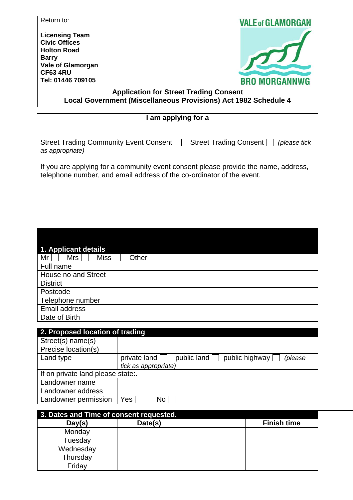| Return to:                                                                                                                         | <b>VALE of GLAMORGAN</b>                   |  |  |  |
|------------------------------------------------------------------------------------------------------------------------------------|--------------------------------------------|--|--|--|
| <b>Licensing Team</b><br><b>Civic Offices</b><br><b>Holton Road</b><br><b>Barry</b><br><b>Vale of Glamorgan</b><br><b>CF63 4RU</b> |                                            |  |  |  |
| Tel: 01446 709105                                                                                                                  | <b>BRO MORGANNWG</b>                       |  |  |  |
| <b>Application for Street Trading Consent</b><br>Local Government (Miscellaneous Provisions) Act 1982 Schedule 4                   |                                            |  |  |  |
|                                                                                                                                    |                                            |  |  |  |
| I am applying for a                                                                                                                |                                            |  |  |  |
| Street Trading Community Event Consent                                                                                             | Street Trading Consent    <br>(please tick |  |  |  |

If you are applying for a community event consent please provide the name, address, telephone number, and email address of the co-ordinator of the event.

*as appropriate)*

| 1. Applicant details |       |
|----------------------|-------|
| Miss<br>Mr<br>Mrs I  | Other |
| Full name            |       |
| House no and Street  |       |
| <b>District</b>      |       |
| Postcode             |       |
| Telephone number     |       |
| Email address        |       |
| Date of Birth        |       |

| 2. Proposed location of trading   |                                                                     |  |  |
|-----------------------------------|---------------------------------------------------------------------|--|--|
| Street(s) name(s)                 |                                                                     |  |  |
| Precise location(s)               |                                                                     |  |  |
| Land type                         | public land public highway $\Box$<br>private land $\Box$<br>(please |  |  |
|                                   | tick as appropriate)                                                |  |  |
| If on private land please state:. |                                                                     |  |  |
| Landowner name                    |                                                                     |  |  |
| Landowner address                 |                                                                     |  |  |
| Landowner permission              | No<br>Yes.                                                          |  |  |

| 3. Dates and Time of consent requested. |         |                    |  |
|-----------------------------------------|---------|--------------------|--|
| Day(s)                                  | Date(s) | <b>Finish time</b> |  |
| Monday                                  |         |                    |  |
| Tuesday                                 |         |                    |  |
| Wednesday                               |         |                    |  |
| Thursday                                |         |                    |  |
| Friday                                  |         |                    |  |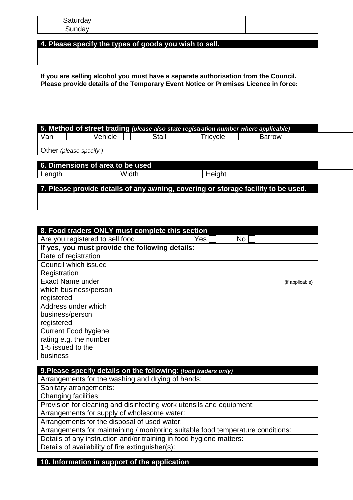**4. Please specify the types of goods you wish to sell.** 

**If you are selling alcohol you must have a separate authorisation from the Council. Please provide details of the Temporary Event Notice or Premises Licence in force:**

| 5. Method of street trading (please also state registration number where applicable) |         |       |          |               |  |
|--------------------------------------------------------------------------------------|---------|-------|----------|---------------|--|
| Van                                                                                  | Vehicle | Stall | Tricycle | <b>Barrow</b> |  |
| Other (please specify)                                                               |         |       |          |               |  |
| 6. Dimensions of area to be used                                                     |         |       |          |               |  |
| Length                                                                               | Width   |       | Height   |               |  |
| 7. Please provide details of any awning, covering or storage facility to be used.    |         |       |          |               |  |

| 8. Food traders ONLY must complete this section |  |     |    |                 |
|-------------------------------------------------|--|-----|----|-----------------|
| Are you registered to sell food                 |  | Yes | No |                 |
| If yes, you must provide the following details: |  |     |    |                 |
| Date of registration                            |  |     |    |                 |
| Council which issued                            |  |     |    |                 |
| Registration                                    |  |     |    |                 |
| <b>Exact Name under</b>                         |  |     |    | (if applicable) |
| which business/person                           |  |     |    |                 |
| registered                                      |  |     |    |                 |
| Address under which                             |  |     |    |                 |
| business/person                                 |  |     |    |                 |
| registered                                      |  |     |    |                 |
| <b>Current Food hygiene</b>                     |  |     |    |                 |
| rating e.g. the number                          |  |     |    |                 |
| 1-5 issued to the                               |  |     |    |                 |
| business                                        |  |     |    |                 |

| 9. Please specify details on the following: (food traders only)                 |
|---------------------------------------------------------------------------------|
| Arrangements for the washing and drying of hands;                               |
| Sanitary arrangements:                                                          |
| Changing facilities:                                                            |
| Provision for cleaning and disinfecting work utensils and equipment:            |
| Arrangements for supply of wholesome water:                                     |
| Arrangements for the disposal of used water:                                    |
| Arrangements for maintaining / monitoring suitable food temperature conditions: |
| Details of any instruction and/or training in food hygiene matters:             |
| Details of availability of fire extinguisher(s):                                |
|                                                                                 |

**10. Information in support of the application**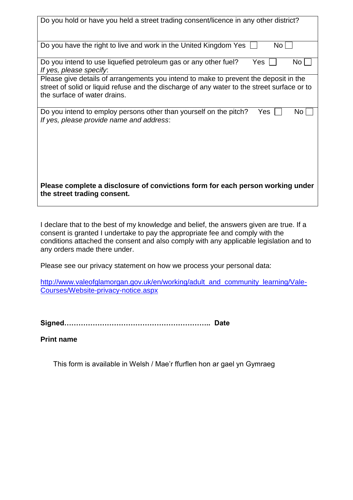| Do you hold or have you held a street trading consent/licence in any other district?                                                                                                                                |  |  |  |  |
|---------------------------------------------------------------------------------------------------------------------------------------------------------------------------------------------------------------------|--|--|--|--|
| Do you have the right to live and work in the United Kingdom Yes<br>No L                                                                                                                                            |  |  |  |  |
| Yes<br>No<br>Do you intend to use liquefied petroleum gas or any other fuel?<br>If yes, please specify.                                                                                                             |  |  |  |  |
| Please give details of arrangements you intend to make to prevent the deposit in the<br>street of solid or liquid refuse and the discharge of any water to the street surface or to<br>the surface of water drains. |  |  |  |  |
| Do you intend to employ persons other than yourself on the pitch?<br>No<br>Yes<br>If yes, please provide name and address:                                                                                          |  |  |  |  |
| Please complete a disclosure of convictions form for each person working under<br>the street trading consent.                                                                                                       |  |  |  |  |

I declare that to the best of my knowledge and belief, the answers given are true. If a consent is granted I undertake to pay the appropriate fee and comply with the conditions attached the consent and also comply with any applicable legislation and to any orders made there under.

Please see our privacy statement on how we process your personal data:

[http://www.valeofglamorgan.gov.uk/en/working/adult\\_and\\_community\\_learning/Vale-](http://www.valeofglamorgan.gov.uk/en/working/adult_and_community_learning/Vale-Courses/Website-privacy-notice.aspx)[Courses/Website-privacy-notice.aspx](http://www.valeofglamorgan.gov.uk/en/working/adult_and_community_learning/Vale-Courses/Website-privacy-notice.aspx)

**Signed…………………………………………………….. Date**

**Print name**

This form is available in Welsh / Mae'r ffurflen hon ar gael yn Gymraeg